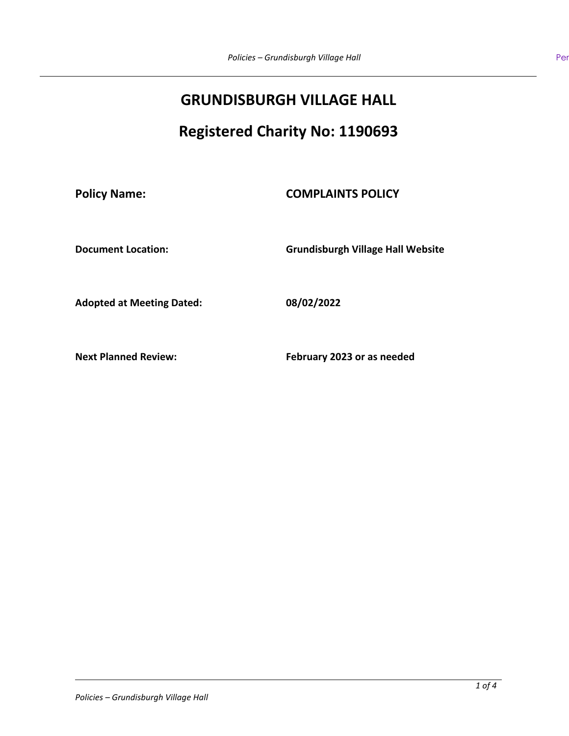## **GRUNDISBURGH VILLAGE HALL**

# **Registered Charity No: 1190693**

**Policy Name: COMPLAINTS POLICY**

**Document Location: Grundisburgh Village Hall Website**

**Adopted at Meeting Dated: 08/02/2022**

**Next Planned Review: February 2023 or as needed**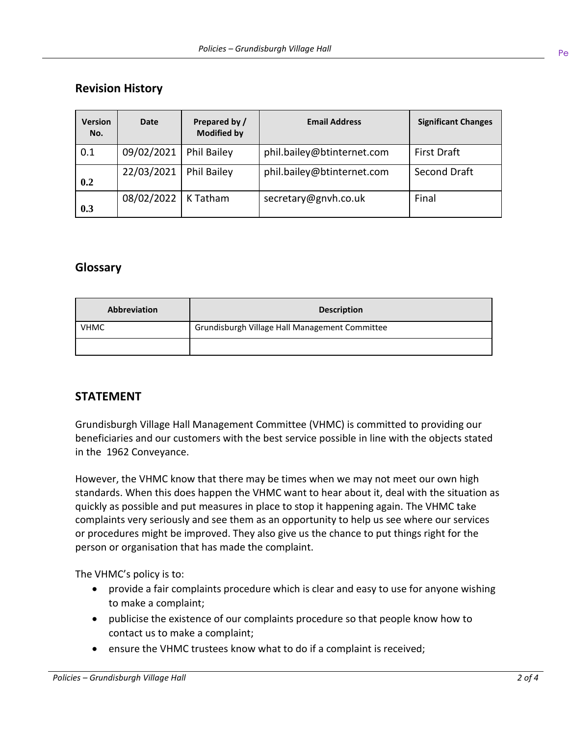## **Revision History**

| <b>Version</b><br>No. | <b>Date</b> | Prepared by /<br><b>Modified by</b> | <b>Email Address</b>       | <b>Significant Changes</b> |
|-----------------------|-------------|-------------------------------------|----------------------------|----------------------------|
| 0.1                   | 09/02/2021  | Phil Bailey                         | phil.bailey@btinternet.com | <b>First Draft</b>         |
| 0.2                   | 22/03/2021  | <b>Phil Bailey</b>                  | phil.bailey@btinternet.com | Second Draft               |
| 0.3                   | 08/02/2022  | K Tatham                            | secretary@gnvh.co.uk       | Final                      |

## **Glossary**

| <b>Abbreviation</b> | <b>Description</b>                             |  |
|---------------------|------------------------------------------------|--|
| <b>VHMC</b>         | Grundisburgh Village Hall Management Committee |  |
|                     |                                                |  |

## **STATEMENT**

Grundisburgh Village Hall Management Committee (VHMC) is committed to providing our beneficiaries and our customers with the best service possible in line with the objects stated in the 1962 Conveyance.

However, the VHMC know that there may be times when we may not meet our own high standards. When this does happen the VHMC want to hear about it, deal with the situation as quickly as possible and put measures in place to stop it happening again. The VHMC take complaints very seriously and see them as an opportunity to help us see where our services or procedures might be improved. They also give us the chance to put things right for the person or organisation that has made the complaint.

The VHMC's policy is to:

- provide a fair complaints procedure which is clear and easy to use for anyone wishing to make a complaint;
- publicise the existence of our complaints procedure so that people know how to contact us to make a complaint;
- ensure the VHMC trustees know what to do if a complaint is received;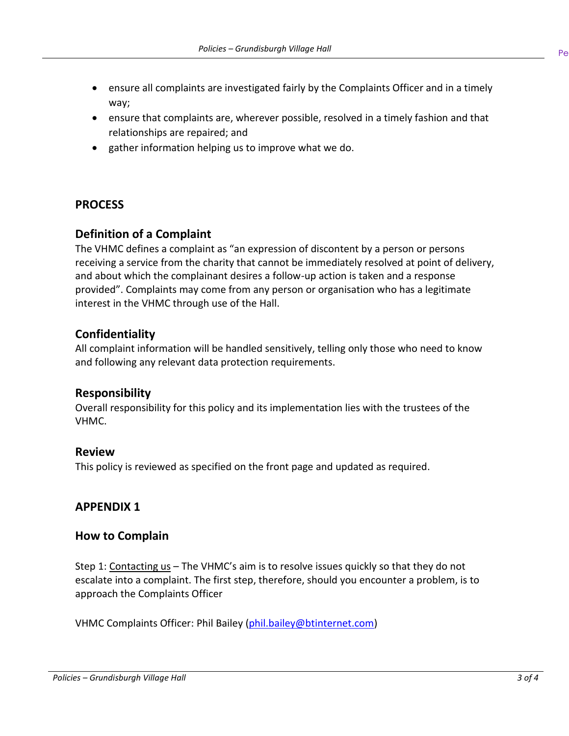- ensure all complaints are investigated fairly by the Complaints Officer and in a timely way;
- ensure that complaints are, wherever possible, resolved in a timely fashion and that relationships are repaired; and
- gather information helping us to improve what we do.

#### **PROCESS**

## **Definition of a Complaint**

The VHMC defines a complaint as "an expression of discontent by a person or persons receiving a service from the charity that cannot be immediately resolved at point of delivery, and about which the complainant desires a follow-up action is taken and a response provided". Complaints may come from any person or organisation who has a legitimate interest in the VHMC through use of the Hall.

## **Confidentiality**

All complaint information will be handled sensitively, telling only those who need to know and following any relevant data protection requirements.

#### **Responsibility**

Overall responsibility for this policy and its implementation lies with the trustees of the VHMC.

#### **Review**

This policy is reviewed as specified on the front page and updated as required.

## **APPENDIX 1**

#### **How to Complain**

Step 1: Contacting us – The VHMC's aim is to resolve issues quickly so that they do not escalate into a complaint. The first step, therefore, should you encounter a problem, is to approach the Complaints Officer

VHMC Complaints Officer: Phil Bailey [\(phil.bailey@btinternet.com\)](mailto:phil.bailey@btinternet.com)